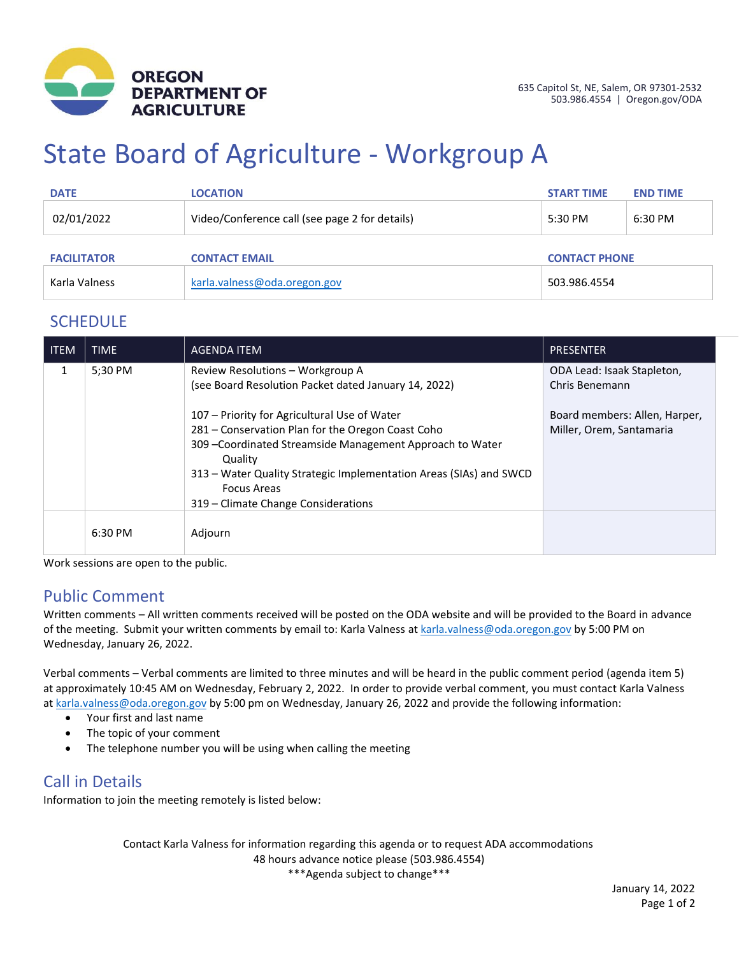

# State Board of Agriculture - Workgroup A

| <b>DATE</b>        | <b>LOCATION</b>                                | <b>START TIME</b>    | <b>END TIME</b> |
|--------------------|------------------------------------------------|----------------------|-----------------|
| 02/01/2022         | Video/Conference call (see page 2 for details) | 5:30 PM              | 6:30 PM         |
| <b>FACILITATOR</b> | <b>CONTACT EMAIL</b>                           | <b>CONTACT PHONE</b> |                 |
| Karla Valness      | karla.valness@oda.oregon.gov                   | 503.986.4554         |                 |

### **SCHEDULE**

| <b>ITEM</b> | <b>TIME</b> | <b>AGENDA ITEM</b>                                                                                                                                                                                                                                                                                           | <b>PRESENTER</b>                                          |
|-------------|-------------|--------------------------------------------------------------------------------------------------------------------------------------------------------------------------------------------------------------------------------------------------------------------------------------------------------------|-----------------------------------------------------------|
| 1           | 5:30 PM     | Review Resolutions - Workgroup A<br>(see Board Resolution Packet dated January 14, 2022)                                                                                                                                                                                                                     | ODA Lead: Isaak Stapleton,<br>Chris Benemann              |
|             |             | 107 – Priority for Agricultural Use of Water<br>281 - Conservation Plan for the Oregon Coast Coho<br>309 - Coordinated Streamside Management Approach to Water<br>Quality<br>313 – Water Quality Strategic Implementation Areas (SIAs) and SWCD<br><b>Focus Areas</b><br>319 – Climate Change Considerations | Board members: Allen, Harper,<br>Miller, Orem, Santamaria |
|             | 6:30 PM     | Adjourn                                                                                                                                                                                                                                                                                                      |                                                           |

Work sessions are open to the public.

### Public Comment

Written comments – All written comments received will be posted on the ODA website and will be provided to the Board in advance of the meeting. Submit your written comments by email to: Karla Valness a[t karla.valness@oda.oregon.gov](mailto:karla.valness@oda.oregon.gov) by 5:00 PM on Wednesday, January 26, 2022.

Verbal comments – Verbal comments are limited to three minutes and will be heard in the public comment period (agenda item 5) at approximately 10:45 AM on Wednesday, February 2, 2022. In order to provide verbal comment, you must contact Karla Valness a[t karla.valness@oda.oregon.gov](mailto:karla.valness@oda.oregon.gov) by 5:00 pm on Wednesday, January 26, 2022 and provide the following information:

- Your first and last name
- The topic of your comment
- The telephone number you will be using when calling the meeting

### Call in Details

Information to join the meeting remotely is listed below:

Contact Karla Valness for information regarding this agenda or to request ADA accommodations 48 hours advance notice please (503.986.4554) \*\*\*Agenda subject to change\*\*\*